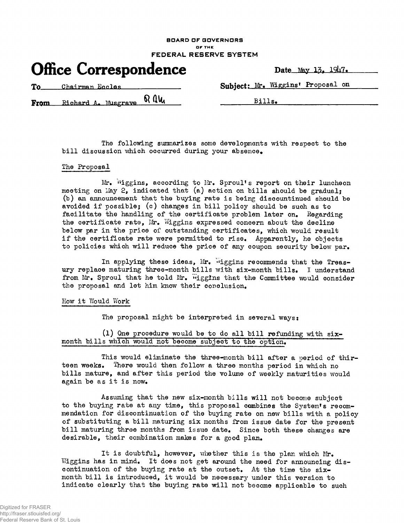### **BOARD OF GOVERNORS OF THE FEDERAL RESERVE SYSTEM**

|  | <b>Office Correspondence</b> | Date_ |
|--|------------------------------|-------|
|--|------------------------------|-------|

To Chairman Engles **Subject:** Mr. Wiggins' Proposal on

 $From$  Richard A. Musgrave  $\mathbb{R}$   $\mathbb{U}$   $\qquad \qquad$   $\qquad \qquad$   $\qquad$   $\qquad$   $\qquad$   $\qquad$   $\qquad$   $\qquad$   $\qquad$   $\qquad$   $\qquad$   $\qquad$   $\qquad$   $\qquad$   $\qquad$   $\qquad$   $\qquad$   $\qquad$   $\qquad$   $\qquad$   $\qquad$   $\qquad$   $\qquad$   $\qquad$   $\qquad$   $\qquad$   $\qquad$   $\qquad$   $\qquad$ 

The following summarizes some developments with respect to the bill discussion which occurred during your absence.

## The Proposal

Mr. Wiggins, according to Mr. Sproul's report on their luncheon meeting on May 2, indicated that (a) action on bills should be gradual: (b) an announcement that the buying rate is being disoountinued should be avoided if possible; (c) changes in bill policy should be such as to facilitate the handling of the certificate problem later on. Regarding the certificate rate, Mr. Wiggins expressed concern about the decline below par in the prioe of outstanding certificates, which would result if the certificate rate were permitted to rise. Apparently, he objects to policies which will reduce the price of any coupon security below par.

In applying these ideas, Mr. Wiggins recommends that the Treasury replace maturing three-month bills with six-month bills. I understand from Mr. Sproul that he told Mr.  $W_i$  figgins that the Committee would consider the proposal and let him know their conclusion.

### How it Would Work

The proposal might be interpreted in several ways:

(1) One procedure would be to do all bill refunding with  $six$ month bills which would not become subjeot to the option.

This would eliminate the three-month bill after a period of thirteen weeks. There would then follow a three months period in which no bills mature, and after this period the volume of weekly maturities would again be as it is now.

Assuming that the new six-month bills will not become subjeot to the buying rate at any time, this proposal combines the System's recommendation for discontinuation of the buying rate on new bills with a policy of substituting a bill maturing six months from issue date for the present bill maturing three months from issue date. Since both these changes are desirable, their combination makes for a good plan.

It is doubtful, however, whether this is the plan which Mr. Wiggins has in mind. It does not get around the need for announcing discontinuation of the buying rate at the outset. At the time the sixmonth bill is introduced, it would be necessary under this version to indicate clearly that the buying rate will not become applicable to such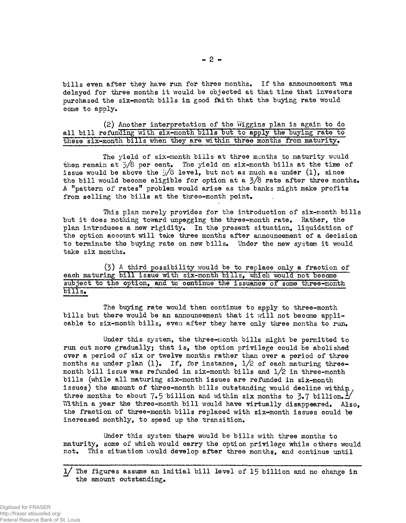bills even after they have run for three months. If the announcement was delayed for three months it would be objected at that time that investors purchased the six-month bills in good faith that the buying rate would come to apply.

# (2) Another interpretation of the Wiggins plan is again to do all bill refunding with six-month bills but to apply the buying rate to these six-month bills when they are within three months from maturity.

The yield of six-month bills at three months to maturity would then remain at  $\bar{z}/8$  per cent. The yield on six-month bills at the time of issue would be above the  $5/8$  level, but not as much as under (1), since the bill would become eligible for option at a 3/8 rate after three months, A "pattern of rates" problem would arise as the banks might make profits from selling the bills at the three-month point.

This plan merely provides for the introduction of six-month bills but it does nothing toward unpegging the three-month rate. Rather, the plan introduces a new rigidity. In the present situation, liquidation of the option account will take three months after announcement of a decision to terminate the buying rate on new bills. Under the new system it would take six months,

(3) A third possibility would be to replace only a fraction of each maturing bill issue with six-month bills, which would not become subject to the option, and to continue the issuance of some three-month bills.

The buying rate would then continue to apply to three-month bills but there would be an announcement that it will not became applicable to six-month bills, even after they have only three months to run.

Under this system, the three-month bills might be permitted to run out more gradually; that is, the option privilege could be abolished over a period of six or twelve months rather than over a period of three months as under plan (1). If, for instance,  $1/2$  of each maturing threemonth bill issue was refunded in six-month bills and  $1/2$  in three-month bills (while all maturing six-month issues are refunded in six-month issues) the amount of three-month bills outstanding would decline within, three months to about 7.5 billion and within six months to 3.7 billion.  $\frac{1}{2}$ Within a year the three-month bill would have virtually disappeared. Also, the fraction of three-month bills replaced with six-month issues could be increased monthly, to speed up the transition.

Under this system there would be bills with three months to maturity, some of which would carry the option privilege while others would not. This situation would develop after three months, and continue until

The figures assume an initial bill level of 15 billion and no change in the amount outstanding.